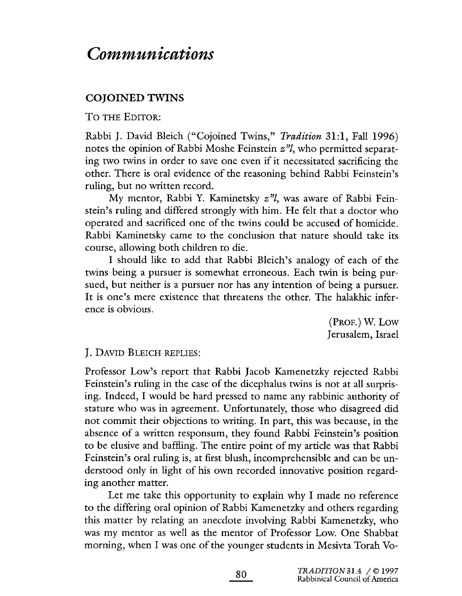# COJOINED TWINS

#### To THE EDITOR:

Rabbi J. David Bleich ("Cojoined Twins," Tradition 31:1, Fall 1996) notes the opinion of Rabbi Moshe Feinstein  $z^{\prime\prime}l$ , who permitted separating two twins in order to save one even if it necessitated sacrificing the other. There is oral evidence of the reasoning behind Rabbi Feinstein's ruling, but no written record.

My mentor, Rabbi Y. Kaminetsky  $z^{\nu}l$ , was aware of Rabbi Feinstein's ruling and differed strongly with him. He felt that a doctor who operated and sacrificed one of the twns could be accused of homicide. Rabbi Kaminetsky came to the conclusion that nature should take its course, allowing both children to die.

I should like to add that Rabbi Bleich's analogy of each of the twins being a pursuer is somewhat erroneous. Each twin is being pursued, but neither is a pursuer nor has any intention of being a pursuer. It is one's mere existence that threatens the other. The halakhic inference is obvious.

> (PROF.) W. Low Jerusalem, Israel

## J. DAVID BLEICH REPLIES:

Professor Low's report that Rabbi Jacob Kamenetzky rejected Rabbi Feinstein's ruling in the case of the dicephalus twins is not at all surprising. Indeed, I would be hard pressed to name any rabbinic authority of stature who was in agreement. Unfortunately, those who disagreed did not commit their objections to writing. In part, this was because, in the absence of a written responsum, they found Rabbi Feinstein's position to be elusive and baffling. The entire point of my article was that Rabbi Feinstein's oral ruling is, at first blush, incomprehensible and can be understood only in light of his own recorded innovative position regarding another matter.

Let me take this opportunity to explain why I made no reference to the differing oral opinion of Rabbi Kamenetzky and others regarding this matter by relating an anecdote involving Rabbi Kamenetzky, who was my mentor as well as the mentor of Professor Low. One Shabbat morning, when I was one of the younger students in Mesivta Torah Vo-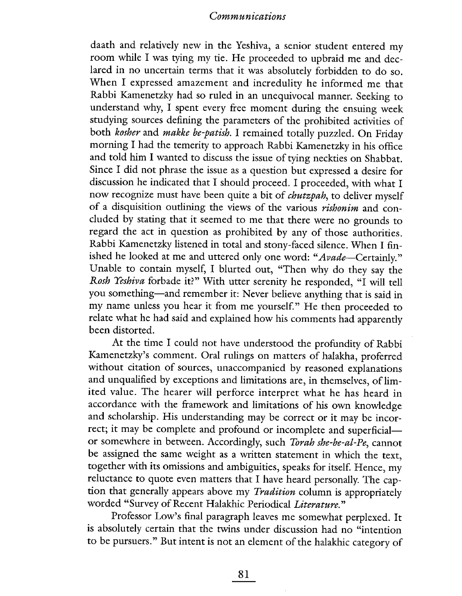daath and relatively new in the Yeshiva, a senior student entered my room while I was tying my tie. He proceeded to upbraid me and declared in no uncertain terms that it was absolutely forbidden to do so. When I expressed amazement and incredulity he informed me that Rabbi Kamenetzky had so ruled in an unequivocal manner. Seeking to understand why, I spent every free moment during the ensuing week studying sources defining the parameters of the prohibited activities of both kosher and makke be-patish. I remained totally puzzled. On Friday morning I had the temerity to approach Rabbi Kamenetzky in his office and told him I wanted to discuss the issue of tying neckties on Shabbat. Since I did not phrase the issue as a question but expressed a desire for discussion he indicated that I should proceed. I proceeded, with what I now recognize must have been quite a bit of *chutzpah*, to deliver myself of a disquisition outlining the views of the various *rishonim* and concluded by stating that it seemed to me that there were no grounds to regard the act in question as prohibited by any of those authorities. Rabbi Kamenetzky listened in total and stony-faced silence. When I finished he looked at me and uttered only one word: "Avade-Certainly." Unable to contain myself, I blurted out, "Then why do they say the Rosh Yeshiva forbade it?" With utter serenity he responded, "I will tell you something-and remember it: Never believe anything that is said in my name unless you hear it from me yourself." He then proceeded to relate what he had said and explained how his comments had apparently been distorted.

At the time I could not have understood the profundity of Rabbi Kamenetzky's comment. Oral rulings on matters of halakha, proferred without citation of sources, unaccompanied by reasoned explanations and unqualified by exceptions and limitations are, in themselves, of limited value. The hearer will perforce interpret what he has heard in accordance with the framework and limitations of his own knowledge and scholarship. His understanding may be correct or it may be incorrect; it may be complete and profound or incomplete and superficialor somewhere in between. Accordingly, such Torah she-be-al-Pe, cannot be assigned the same weight as a written statement in which the text, together with its omissions and ambiguities, speaks for itself. Hence, my reluctance to quote even matters that I have heard personally. The caption that generally appears above my Tradition column is appropriately worded "Survey of Recent Halakhic Periodical Literature."

Professor Low's final paragraph leaves me somewhat perplexed. It is absolutely certain that the twins under discussion had no "intention to be pursuers." But intent is not an element of the halakhic category of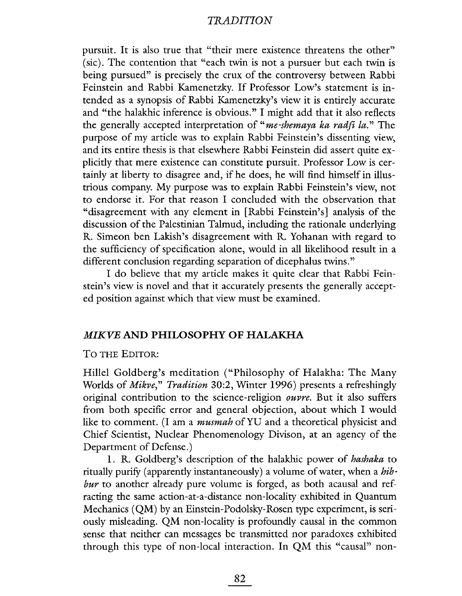pursuit. It is also true that "their mere existence threatens the other" (sic). The contention that "each twin is not a pursuer but each twin is being pursued" is precisely the crux of the controversy between Rabbi Feinstein and Rabbi Kamenetzky. If Professor Low's statement is intended as a synopsis of Rabbi Kamenetzky's view it is entirely accurate and "the halakhic inference is obvious." I might add that it also reflects the generally accepted interpretation of "*me-shemaya ka radfi la*." The purpose of my article was to explain Rabbi Feinstein's dissenting view, and its entire thesis is that elsewhere Rabbi Feinstein did assert quite explicitly that mere existence can constitute pursuit. Professor Low is certainly at liberty to disagree and, if he does, he will find himself in ilustrious company. My purpose was to explain Rabbi Feinstein's view, not to endorse it. For that reason I concluded with the observation that "disagreement with any element in (Rabbi Feinstein's) analysis of the discussion of the Palestinian Talmud, including the rationale underlying R. Simeon ben Lakish's disagreement with R. Yohanan with regard to the sufficiency of specification alone, would in all likelihood result in a different conclusion regarding separation of dicephalus twins."

I do believe that my article makes it quite clear that Rabbi Feinstein's view is novel and that it accurately presents the generally accepted position against which that view must be examined.

## MIKVE AND PHILOSOPHY OF HALAKHA

#### To THE EDITOR:

Hilel Goldberg's meditation ("Philosophy of Halakha: The Many Worlds of Mikve," Tradition 30:2, Winter 1996) presents a refreshingly original contribution to the science-religion *ouvre*. But it also suffers from both specific error and general objection, about which I would like to comment. (I am a *musmah* of YU and a theoretical physicist and Chief Scientist, Nuclear Phenomenology Divison, at an agency of the Department of Defense.)

1. R. Goldberg's description of the halakhic power of hashaka to ritually purify (apparently instantaneously) a volume of water, when a *hib*bur to another already pure volume is forged, as both acausal and refracting the same action-at-a-distance non-locality exhibited in Quantum Mechanics (QM) by an Einstein-Podolsky-Rosen type experiment, is seriously misleading. QM non-locality is profoundly causal in the common sense that neither can messages be transmitted nor paradoxes exhbited through this type of non-local interaction. In QM this "causal" non-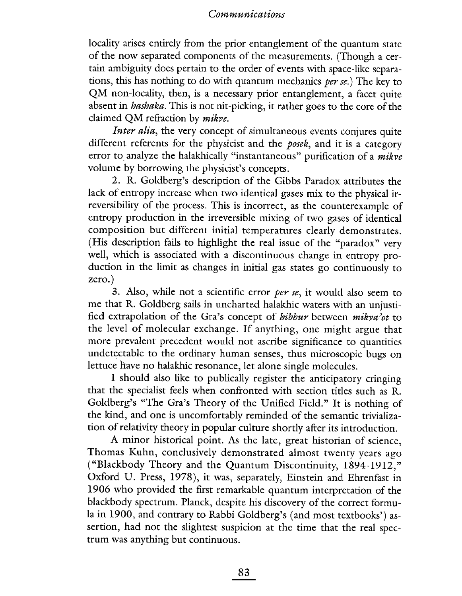locality arises entirely from the prior entanglement of the quantum state of the now separated components of the measurements. (Though a certain ambiguity does pertain to the order of events with space-like separations, this has nothing to do with quantum mechanics *per se*.) The key to QM non-locality, then, is a necessary prior entanglement, a facet quite absent in hashaka. This is not nit-picking, it rather goes to the core of the claimed QM refraction by *mikve*.

Inter alia, the very concept of simultaneous events conjures quite different referents for the physicist and the *posek*, and it is a category error to analyze the halakhically "instantaneous" purification of a *mikve* volume by borrowing the physicist's concepts.

2. R. Goldberg's description of the Gibbs Paradox attributes the lack of entropy increase when two identical gases mix to the physical irreversibility of the process. This is incorrect, as the counterexample of entropy production in the irreversible mixing of two gases of identical composition but different initial temperatures clearly demonstrates. (His description fails to highlight the real issue of the "paradox" very well, which is associated with a discontinuous change in entropy production in the limit as changes in initial gas states go continuously to zero. )

3. Also, while not a scientific error *per se*, it would also seem to me that R. Goldberg sails in uncharted halakhic waters with an unjustified extrapolation of the Gra's concept of *hibbur* between *mikva'ot* to the level of molecular exchange. If anything, one might argue that more prevalent precedent would not ascribe significance to quantities undetectable to the ordinary human senses, thus microscopic bugs on lettuce have no halakhic resonance, let alone single molecules.

I should also like to publically register the anticipatory cringing that the specialist feels when confronted with section titles such as R. Goldberg's "The Gra's Theory of the Unified Field." It is nothing of the kind, and one is uncomfortably reminded of the semantic trivialization of relativity theory in popular culture shortly after its introduction.

A minor historical point. As the late, great historian of science, Thomas Kuhn, conclusively demonstrated almost twenty years ago ("Blackbody Theory and the Quantum Discontinuity, 1894-1912," Oxford U. Press, 1978), it was, separately, Einstein and Ehrenfast in 1906 who provided the first remarkable quantum interpretation of the blackbody spectrum. Planck, despite his discovery of the correct formula in 1900, and contrary to Rabbi Goldberg's (and most textbooks') assertion, had not the slightest suspicion at the time that the real spectrum was anything but continuous.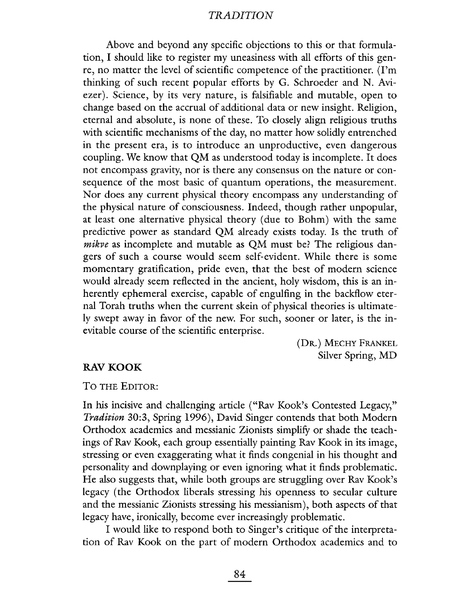Above and beyond any specific objections to this or that formulation, I should like to register my uneasiness with all efforts of this genre, no matter the level of scientific competence of the practitioner. (I'm thinking of such recent popular efforts by G. Schroeder and N. Aviezer). Science, by its very nature, is falsifiable and mutable, open to change based on the accrual of additional data or new insight. Religion, eternal and absolute, is none of these. To closely align religious truths with scientific mechanisms of the day, no matter how solidly entrenched in the present era, is to introduce an unproductive, even dangerous coupling. We know that QM as understood today is incomplete. It does not encompass gravity, nor is there any consensus on the nature or consequence of the most basic of quantum operations, the measurement. Nor does any current physical theory encompass any understanding of the physical nature of consciousness. Indeed, though rather unpopular, at least one alternative physical theory (due to Bohm) with the same predictive power as standard QM already exists today. Is the truth of mikve as incomplete and mutable as QM must be? The religious dangers of such a course would seem self-evident. While there is some momentary gratification, pride even, that the best of modern science would already seem reflected in the ancient, holy wisdom, this is an inherently ephemeral exercise, capable of engulfing in the backflow eternal Torah truths when the current skein of physical theories is ultimately swept away in favor of the new. For such, sooner or later, is the inevitable course of the scientific enterprise.

> (DR.) MECHY FRANKEL Silver Spring, MD

## RAV KOOK

To THE EDITOR:

In his incisive and challenging article ("Rav Kook's Contested Legacy," Tradition 30:3, Spring 1996), David Singer contends that both Modern Orthodox academics and messianic Zionists simplify or shade the teachings of Rav Kook, each group essentially painting Rav Kook in its image, stressing or even exaggerating what it finds congenial in his thought and personality and downplaying or even ignoring what it finds problematic. He also suggests that, while both groups are struggling over Rav Kook's legacy (the Orthodox liberals stressing his openness to secular culture and the messianic Zionists stressing his messianism), both aspects of that legacy have, ironically, become ever increasingly problematic.

I would like to respond both to Singer's critique of the interpretation of Rav Kook on the part of modern Orthodox academics and to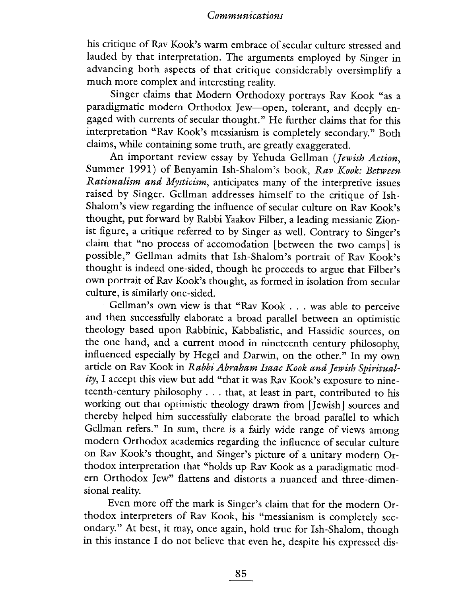his critique of Rav Kook's warm embrace of secular culture stressed and lauded by that interpretation. The arguments employed by Singer in advancing both aspects of that critique considerably oversimplify a much more complex and interesting reality.

Singer claims that Modern Orthodoxy portrays Rav Kook "as a paradigmatic modern Orthodox Jew-open, tolerant, and deeply engaged with currents of secular thought." He further claims that for this interpretation "Rav Kook's messianism is completely secondary." Both claims, while containing some truth, are greatly exaggerated.

An important review essay by Yehuda Gellman (Jewish Action, Summer 1991) of Benyamin Ish-Shalom's book, Rav Kook: Between Rationalism and Mysticism, anticipates many of the interpretive issues raised by Singer. Gellman addresses himself to the critique of Ish-Shalom's view regarding the influence of secular culture on Rav Kook's thought, put forward by Rabbi Yaakov Filber, a leading messianic Zionist figure, a critique referred to by Singer as welL. Contrary to Singer's claim that "no process of accomodation (between the two camps) is possible," Gellman admits that Ish-Shalom's portrait of Rav Kook's thought is indeed one-sided, though he proceeds to argue that Filber's own portrait of Rav Kook's thought, as formed in isolation from secular culture, is similarly one-sided.

Gellman's own view is that "Rav Kook. . . was able to perceive and then successfully elaborate a broad parallel between an optimistic theology based upon Rabbinic, Kabbalistic, and Hassidic sources, on the one hand, and a current mood in nineteenth century philosophy, influenced especially by Hegel and Darwin, on the other." In my own article on Rav Kook in Rabbi Abraham Isaac Kook and Jewish Spirituality, I accept this view but add "that it was Rav Kook's exposure to nineteenth-century philosophy. . . that, at least in part, contributed to his working out that optimistic theology drawn from (Jewish) sources and thereby helped him successfully elaborate the broad parallel to which Gellman refers." In sum, there is a fairly wide range of views among modern Orthodox academics regarding the influence of secular culture on Rav Kook's thought, and Singer's picture of a unitary modern Orthodox interpretation that "holds up Rav Kook as a paradigmatic modern Orthodox Jew" flattens and distorts a nuanced and three-dimensional reality.

Even more off the mark is Singer's claim that for the modern Orthodox interpreters of Rav Kook, his "messianism is completely secondary." At best, it may, once again, hold true for Ish-Shalom, though in this instance I do not believe that even he, despite his expressed dis-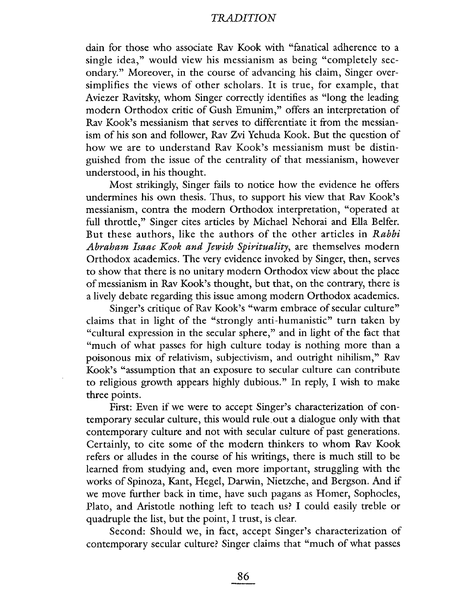dain for those who associate Rav Kook with "fanatical adherence to a single idea," would view his messianism as being "completely secondary." Moreover, in the course of advancing his claim, Singer oversimplifies the views of other scholars. It is true, for example, that Aviezer Ravitsky, whom Singer correctly identifies as "long the leading modern Orthodox critic of Gush Emunim," offers an interpretation of Rav Kook's messianism that serves to differentiate it from the messianism of his son and follower, Rav Zvi Yehuda Kook. But the question of how we are to understand Rav Kook's messianism must be distinguished from the issue of the centrality of that messianism, however understood, in his thought.

Most strikingly, Singer fails to notice how the evidence he offers undermines his own thesis. Thus, to support his view that Rav Kook's messianism, contra the modern Orthodox interpretation, "operated at full throttle," Singer cites articles by Michael Nehorai and Ella Belfer. But these authors, like the authors of the other articles in Rabbi Abraham Isaac Kook and Jewish Spirituality, are themselves modern Orthodox academics. The very evidence invoked by Singer, then, serves to show that there is no unitary modern Orthodox view about the place of messianism in Rav Kook's thought, but that, on the contrary, there is a lively debate regarding this issue among modern Orthodox academics.

Singer's critique of Rav Kook's "warm embrace of secular culture" claims that in light of the "strongly anti-humanistic" turn taken by "cultural expression in the secular sphere," and in light of the fact that "much of what passes for high culture today is nothing more than a poisonous mix of relativism, subjectivism, and outright nihilism," Rav Kook's "assumption that an exposure to secular culture can contribute to religious growth appears highly dubious." In reply, I wish to make three points.

First: Even if we were to accept Singer's characterization of contemporary secular culture, this would rule. out a dialogue only with that contemporary culture and not with secular culture of past generations. Certainly, to cite some of the modern thinkers to whom Rav Kook refers or alludes in the course of his writings, there is much still to be learned from studying and, even more important, struggling with the works of Spinoza, Kant, Hegel, Darwin, Nietzche, and Bergson. And if we move further back in time, have such pagans as Homer, Sophocles, Plato, and Aristotle nothing left to teach us? I could easily treble or quadruple the list, but the point, I trust, is clear.

Second: Should we, in fact, accept Singer's characterization of contemporary secular culture? Singer claims that "much of what passes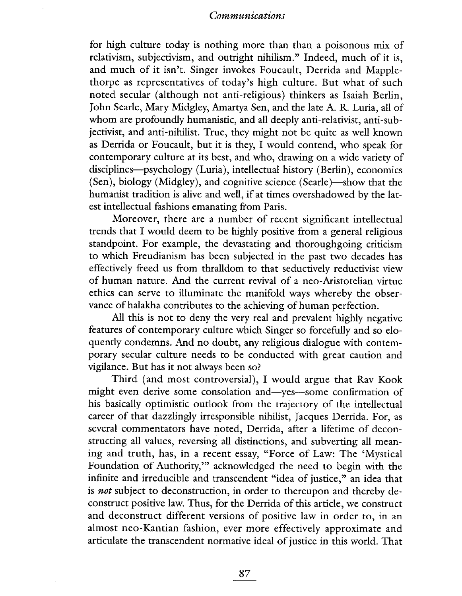for high culture today is nothing more than than a poisonous mix of relativism, subjectivism, and outright nihilism." Indeed, much of it is, and much of it isn't. Singer invokes Foucault, Derrida and Mapplethorpe as representatives of today's high culture. But what of such noted secular (although not anti-religious) thinkers as Isaiah Berlin, John Searle, Mary Midgley, Amartya Sen, and the late A. R. Luria, all of whom are profoundly humanistic, and all deeply anti-relativist, anti-subjectivist, and anti-nihilst. True, they might not be quite as well known as Derrida or Foucault, but it is they, I would contend, who speak for contemporary culture at its best, and who, drawing on a wide variety of disciplines—psychology (Luria), intellectual history (Berlin), economics (Sen), biology (Midgley), and cognitive science (Searle)—show that the humanist tradition is alive and well, if at times overshadowed by the latest intellectual fashions emanating from Paris.

Moreover, there are a number of recent significant intellectual trends that I would deem to be highly positive from a general religious standpoint. For example, the devastating and thoroughgoing criticism to which Freudianism has been subjected in the past two decades has effectively freed us from thralldom to that seductively reductivist view of human nature. And the current revival of a neo-Aristotelian virtue ethics can serve to iluminate the manifold ways whereby the observance of halakha contributes to the achieving of human perfection.

All this is not to deny the very real and prevalent highly negative features of contemporary culture which Singer so forcefully and so eloquently condemns. And no doubt, any religious dialogue with contemporary secular culture needs to be conducted with great caution and vigilance. But has it not always been so?

Third (and most controversial), I would argue that Rav Kook might even derive some consolation and-yes-some confirmation of his basically optimistic outlook from the trajectory of the intellectual career of that dazzlingly irresponsible nihilist, Jacques Derrida. For, as several commentators have noted, Derrida, after a lifetime of deconstructing all values, reversing all distinctions, and subverting all meaning and truth, has, in a recent essay, "Force of Law: The 'Mystical Foundation of Authority,'" acknowledged the need to begin with the infinite and irreducible and transcendent "idea of justice," an idea that is not subject to deconstruction, in order to thereupon and thereby deconstruct positive law. Thus, for the Derrida of this article, we construct and deconstruct different versions of positive law in order to, in an almost neo-Kantian fashion, ever more effectively approximate and articulate the transcendent normative ideal of justice in this world. That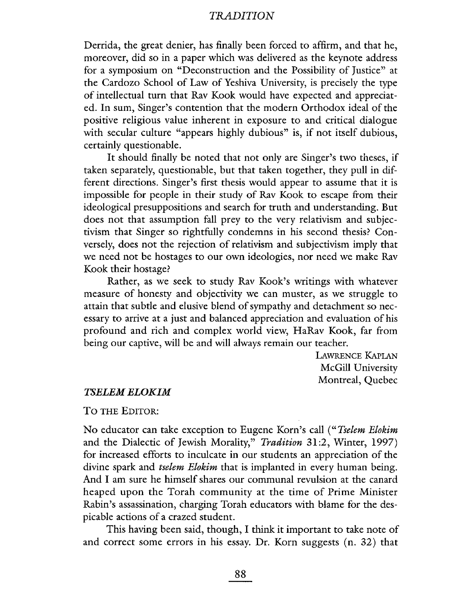Derrida, the great denier, has finally been forced to affirm, and that he, moreover, did so in a paper which was delivered as the keynote address for a symposium on "Deconstruction and the Possibility of Justice" at the Cardozo School of Law of Yeshiva University, is precisely the type of intellectual turn that Rav Kook would have expected and appreciated. In sum, Singer's contention that the modern Orthodox ideal of the positive religious value inherent in exposure to and critical dialogue with secular culture "appears highly dubious" is, if not itself dubious, certainly questionable.

It should finally be noted that not only are Singer's two theses, if taken separately, questionable, but that taken together, they pull in different directions. Singer's first thesis would appear to assume that it is impossible for people in their study of Rav Kook to escape from their ideological presuppositions and search for truth and understanding. But does not that assumption fall prey to the very relativism and subjectivism that Singer so rightfully condemns in his second thesis? Conversely, does not the rejection of relativism and subjectivism imply that we need not be hostages to our own ideologies, nor need we make Rav Kook their hostage?

Rather, as we seek to study Rav Kook's writings with whatever measure of honesty and objectivity we can muster, as we struggle to attain that subtle and elusive blend of sympathy and detachment so necessary to arrive at a just and balanced appreciation and evaluation of his profound and rich and complex world view, HaRav Kook, far from being our captive, will be and will always remain our teacher.

> LAWRENCE KAPLAN McGill University Montreal, Quebec

#### TSELEM ELOKIM

To THE EDITOR:

No educator can take exception to Eugene Korn's call ("Tselem Elokim and the Dialectic of Jewish Morality," Tradition 31:2, Winter, 1997) for increased efforts to inculcate in our students an appreciation of the divine spark and *tselem Elokim* that is implanted in every human being. And I am sure he himself shares our communal revulsion at the canard heaped upon the Torah community at the time of Prime Minister Rabin's assassination, charging Torah educators with blame for the despicable actions of a crazed student.

This having been said, though, I think it important to take note of and correct some errors in his essay. Dr. Korn suggests (n. 32) that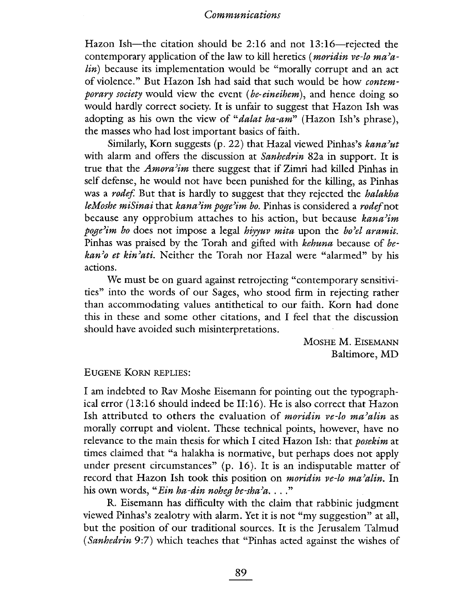Hazon Ish—the citation should be  $2:16$  and not  $13:16$ —rejected the contemporary application of the law to kill heretics (*moridin ve-lo ma'alin*) because its implementation would be "morally corrupt and an act of violence." But Hazon Ish had said that such would be how contemporary society would view the event (be-eineihem), and hence doing so would hardly correct society. It is unfair to suggest that Hazon Ish was adopting as his own the view of "*dalat ha-am*" (Hazon Ish's phrase), the masses who had lost important basics of faith.

Similarly, Korn suggests (p. 22) that Hazal viewed Pinhas's  $kana<sup>2</sup>ut$ with alarm and offers the discussion at Sanhedrin 82a in support. It is true that the *Amora'im* there suggest that if Zimri had killed Pinhas in self defense, he would not have been punished for the killing, as Pinhas was a *rodef*. But that is hardly to suggest that they rejected the *halakha* leMoshe miSinai that kana'im poge'im bo. Pinhas is considered a rodef not because any opprobium attaches to his action, but because kana'im poge'im bo does not impose a legal hivyuv mita upon the bo'el aramit. Pinhas was praised by the Torah and gifted with kehuna because of bekan'o et kin'ati. Neither the Torah nor Hazal were "alarmed" by his actions.

We must be on guard against retrojecting "contemporary sensitivities" into the words of our Sages, who stood firm in rejecting rather than accommodating values antithetical to our faith. Korn had done this in these and some other citations, and I feel that the discussion should have avoided such misinterpretations.

> MOSHE M. EISEMAN Baltimore, MD

#### EUGENE KORN REPLIES:

I am indebted to Rav Moshe Eisemann for pointing out the typographical error (13:16 should indeed be II:16). He is also correct that Hazon Ish attributed to others the evaluation of *moridin ve-lo ma'alin* as morally corrupt and violent. These technical points, however, have no relevance to the main thesis for which I cited Hazon Ish: that *posekim* at times claimed that "a halakha is normative, but perhaps does not apply under present circumstances" (p. 16). It is an indisputable matter of record that Hazon Ish took this position on *moridin ve-lo ma'alin*. In his own words, "Ein ha-din noheg be-sha'a..."

R. Eisemann has difficulty with the claim that rabbinic judgment viewed Pinhas's zealotry with alarm. Yet it is not "my suggestion" at all, but the position of our traditional sources. It is the Jerusalem Talmud (Sanhedrin 9:7) which teaches that "Pinhas acted against the wishes of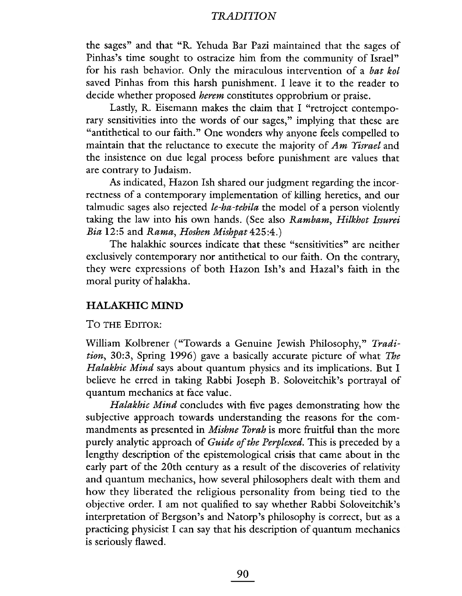the sages" and that "R. Yehuda Bar Pazi maintained that the sages of Pinhas's time sought to ostracize him from the community of Israel" for his rash behavior. Only the miraculous intervention of a bat kol saved Pinhas from this harsh punishment. I leave it to the reader to decide whether proposed *herem* constitutes opprobrium or praise.

Lastly, R. Eisemann makes the claim that I "retroject contemporary sensitivities into the words of our sages," implying that these are "antithetical to our faith." One wonders why anyone feels compelled to maintain that the reluctance to execute the majority of  $Am$  *Tisrael* and the insistence on due legal process before punishment are values that are contrary to Judaism.

As indicated, Hazon Ish shared our judgment regarding the incorrectness of a contemporary implementation of kiling heretics, and our talmudic sages also rejected *le-ha-tehila* the model of a person violently taking the law into his own hands. (See also Rambam, Hilkhot Issurei Bia 12:5 and Rama, Hoshen Mishpat 425:4.)

The halakhic sources indicate that these "sensitivities" are neither exclusively contemporary nor antithetical to our faith. On the contrary, they were expressions of both Hazon Ish's and Hazal's faith in the moral purity of halakha.

## HALAKHIC MIND

# To THE EDITOR:

Wiliam Kolbrener ("Towards a Genuine Jewish Philosophy," Tradition, 30:3, Spring 1996) gave a basically accurate picture of what The Halakhic Mind says about quantum physics and its implications. But I believe he erred in taking Rabbi Joseph B. Soloveitchik's portrayal of quantum mechanics at face value.

Halakhic Mind concludes with five pages demonstrating how the subjective approach towards understanding the reasons for the commandments as presented in *Mishne Torah* is more fruitful than the more purely analytic approach of Guide of the Perplexed. This is preceded by a lengthy description of the epistemological crisis that came about in the early part of the 20th century as a result of the discoveries of relativity and quantum mechanics, how several philosophers dealt with them and how they liberated the religious personality from being tied to the objective order. I am not qualified to say whether Rabbi Soloveitchik's interpretation of Bergson's and Natorp's philosophy is correct, but as a practicing physicist I can say that his description of quantum mechanics is seriously flawed.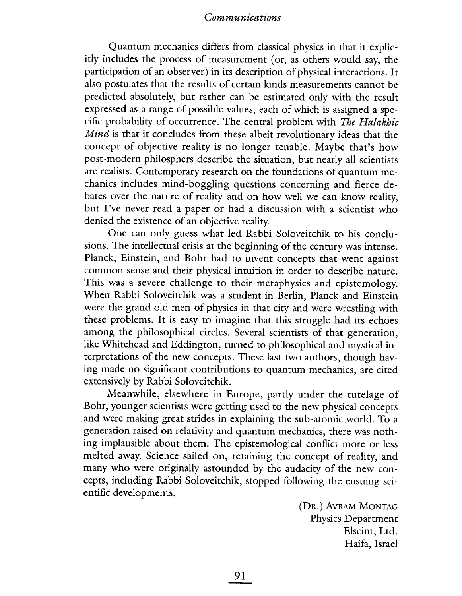Quantum mechanics differs from classical physics in that it explicitly includes the process of measurement (or, as others would say, the participation of an observer) in its description of physical interactions. It also postulates that the results of certain kinds measurements cannot be predicted absolutely, but rather can be estimated only with the result expressed as a range of possible values, each of which is assigned a specific probability of occurrence. The central problem with The Halakhic Mind is that it concludes from these albeit revolutionary ideas that the concept of objective reality is no longer tenable. Maybe that's how post-modern philosphers describe the situation, but nearly all scientists are realists. Contemporary research on the foundations of quantum mechanics includes mind-boggling questions concerning and fierce debates over the nature of reality and on how well we can know reality, but I've never read a paper or had a discussion with a scientist who denied the existence of an objective reality.

One can only guess what led Rabbi Soloveitchik to his conclu- . sions. The intellectual crisis at the beginning of the century was intense. Planck, Einstein, and Bohr had to invent concepts that went against common sense and their physical intuition in order to describe nature. This was a severe challenge to their metaphysics and epistemology. When Rabbi Soloveitchik was a student in Berlin, Planck and Einstein were the grand old men of physics in that city and were wrestling with these problems. It is easy to imagine that this struggle had its echoes among the philosophical circles. Several scientists of that generation, like Whitehead and Eddington, turned to philosophical and mystical interpretations of the new concepts. These last two authors, though having made no significant contributions to quantum mechanics, are cited extensively by Rabbi Soloveitchik.

Meanwhile, elsewhere in Europe, partly under the tutelage of Bohr, younger scientists were getting used to the new physical concepts . and were making great strides in explaining the sub-atomic world. To a generation raised on relativity and quantum mechanics, there was nothing implausible about them. The epistemological conflict more or less melted away. Science sailed on, retaining the concept of reality, and many who were originally astounded by the audacity of the new concepts, including Rabbi Soloveitchik, stopped following the ensuing scientific developments.

> (DR.) AVRAM MONTAG Physics Department Elscint, Ltd. Haifa, Israel

91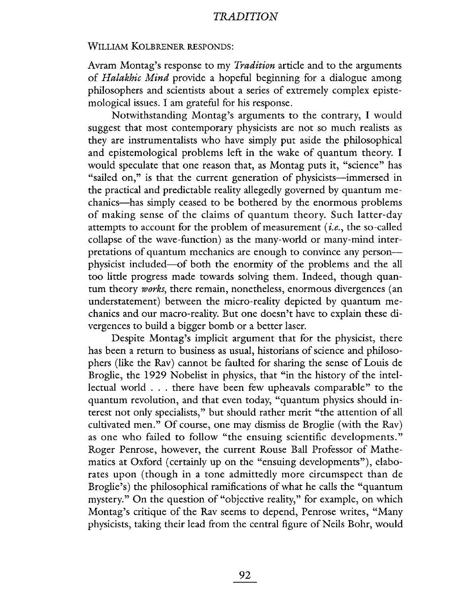#### WILLIAM KOLBRENER RESPONDS:

Avram Montag's response to my *Tradition* article and to the arguments of Halakhic Mind provide a hopeful beginning for a dialogue among philosophers and scientists about a series of extremely complex epistemological issues. I am grateful for his response.

Notwithstanding Montag's arguments to the contrary, I would suggest that most contemporary physicists are not so much realists as they are instrumentalists who have simply put aside the philosophical and epistemological problems left in the wake of quantum theory. I would speculate that one reason that, as Montag puts it, "science" has "sailed on," is that the current generation of physicists--immersed in the practical and predictable reality allegedly governed by quantum mechanics-has simply ceased to be bothered by the enormous problems of making sense of the claims of quantum theory. Such latter-day attempts to account for the problem of measurement (*i.e.*, the so-called collapse of the wave-function) as the many-world or many-mind interpretations of quantum mechanics are enough to convince any personphysicist included-of both the enormity of the problems and the all too little progress made towards solving them. Indeed, though quantum theory *works*, there remain, nonetheless, enormous divergences (an understatement) between the micro-reality depicted by quantum mechanics and our macro-reality. But one doesn't have to explain these divergences to build a bigger bomb or a better laser.

Despite Montag's implicit argument that for the physicist, there has been a return to business as usual, historians of science and philosophers (like the Rav) cannot be faulted for sharing the sense of Louis de Broglie, the 1929 Nobelist in physics, that "in the history of the intellectual world. . . there have been few upheavals comparable" to the quantum revolution, and that even today, "quantum physics should interest not only specialists," but should rather merit "the attention of all cultivated men." Of course, one may dismiss de Broglie (with the Rav) as one who failed to follow "the ensuing scientific developments." Roger Penrose, however, the current Rouse Ball Professor of Mathematics at Oxford (certainly up on the "ensuing developments"), elaborates upon (though in a tone admittedly more circumspect than de Broglie's) the philosophical ramifications of what he calls the "quantum mystery." On the question of "objective reality," for example, on which Montag's critique of the Rav seems to depend, Penrose writes, "Many physicists, taking their lead from the central figure of Neils Bohr, would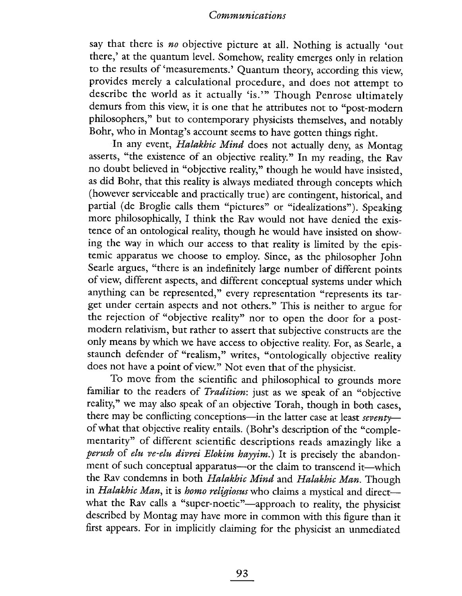say that there is no objective picture at all. Nothing is actually 'out there,' at the quantum level. Somehow, reality emerges only in relation to the results of 'measurements.' Quantum theory, according this view, provides merely a calculational procedure, and does not attempt to describe the world as it actually 'is.'" Though Penrose ultimately demurs from this view, it is one that he attributes not to "post-modern philosophers," but to contemporary physicists themselves, and notably Bohr, who in Montag's account seems to have gotten things right.

In any event, Halakhic Mind does not actually deny, as Montag asserts, "the existence of an objective reality." In my reading, the Rav no doubt believed in "objective reality," though he would have insisted, as did Bohr, that this reality is always mediated through concepts which (however serviceable and practically true) are contingent, historical, and partial (de Broglie calls them "pictures" or "idealizations"). Speaking more philosophically, I think the Rav would not have denied the existence of an ontological reality, though he would have insisted on showing the way in which our access to that reality is limited by the epistemic apparatus we choose to employ. Since, as the philosopher John Searle argues, "there is an indefinitely large number of different points of view, different aspects, and different conceptual systems under which anything can be represented," every representation "represents its target under certain aspects and not others." This is neither to argue for the rejection of "objective reality" nor to open the door for a postmodern relativism, but rather to assert that subjective constructs are the only means by which we have access to objective reality. For, as Searle, a staunch defender of "realism," writes, "ontologically objective reality does not have a point of view." Not even that of the physicist.

To move from the scientific and philosophical to grounds more familiar to the readers of Tradition: just as we speak of an "objective reality," we may also speak of an objective Torah, though in both cases, there may be conflicting conceptions-in the latter case at least seventyof what that objective realty entais. (Bohr's description of the "complementarity" of different scientific descriptions reads amazingly like a perush of elu ve-elu divrei Elokim hayyim.) It is precisely the abandonment of such conceptual apparatus-or the claim to transcend it-which the Rav condemns in both Halakhic Mind and Halakhic Man. Though in Halakhic Man, it is homo religiosus who claims a mystical and directwhat the Rav calls a "super-noetic"---approach to reality, the physicist described by Montag may have more in common with this figure than it first appears. For in implicitly claiming for the physicist an unmediated